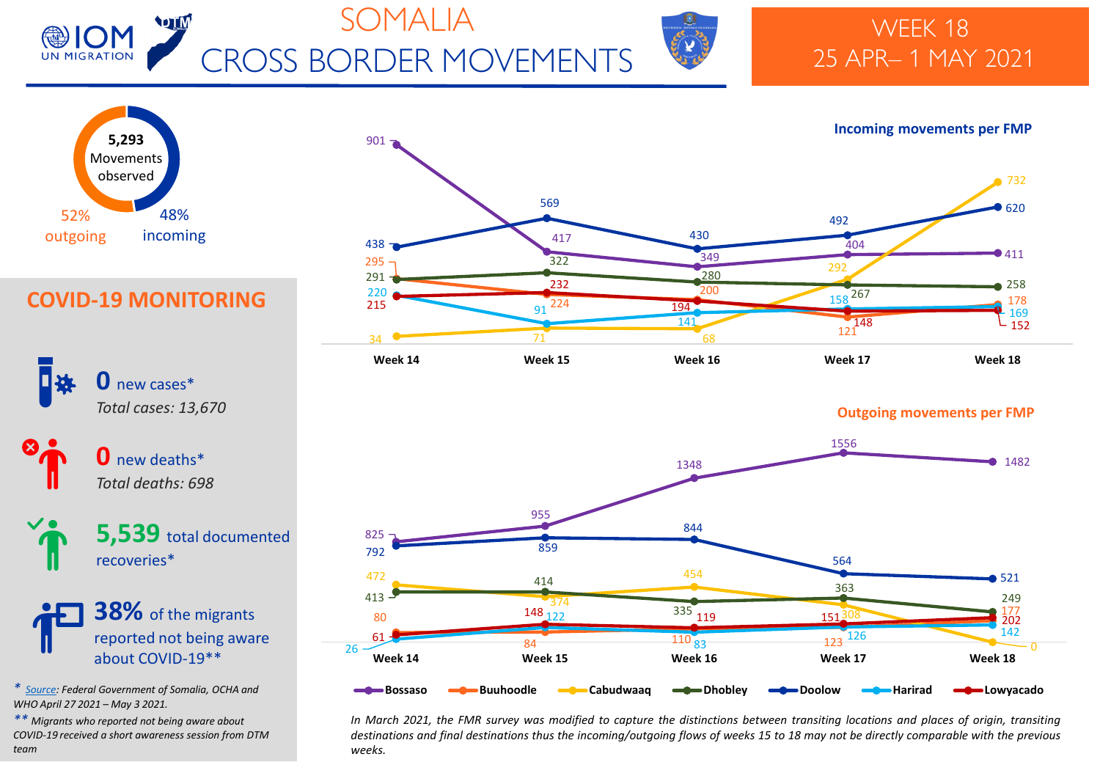

# SOMALIA CROSS BORDER MOVEMENTS



## WEEK 18 25 APR– 1 MAY 2021





### **COVID-19 MONITORING**



 new deaths\* *Total deaths: 698*

**5,539** total documented recoveries\*

**38%** of the migrants reported not being aware about COVID-19\*\*

*\* [Source:](https://moh.gov.so/en/covid19/) Federal Government of Somalia, OCHA and WHO April 27 2021 – May 3 2021.*

*\*\* Migrants who reported not being aware about COVID-19 received a short awareness session from DTM team*



**Outgoing movements per FMP** 



In March 2021, the FMR survey was modified to capture the distinctions between transiting locations and places of origin, transiting destinations and final destinations thus the incoming/outgoing flows of weeks 15 to 18 may not be directly comparable with the previous *weeks.*